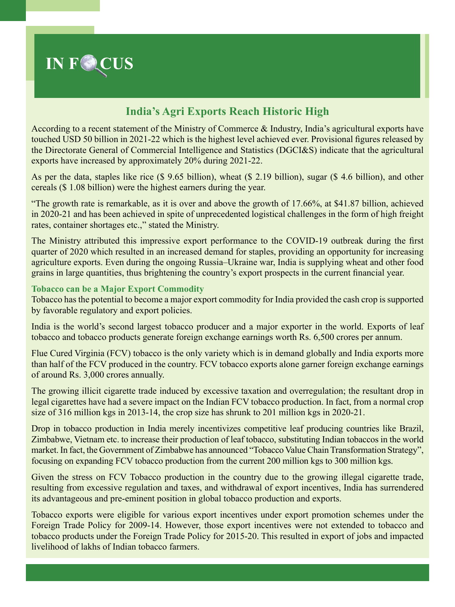

# **India's Agri Exports Reach Historic High**

According to a recent statement of the Ministry of Commerce & Industry, India's agricultural exports have touched USD 50 billion in 2021-22 which is the highest level achieved ever. Provisional figures released by the Directorate General of Commercial Intelligence and Statistics (DGCI&S) indicate that the agricultural exports have increased by approximately 20% during 2021-22.

As per the data, staples like rice (\$ 9.65 billion), wheat (\$ 2.19 billion), sugar (\$ 4.6 billion), and other cereals (\$ 1.08 billion) were the highest earners during the year.

"The growth rate is remarkable, as it is over and above the growth of 17.66%, at \$41.87 billion, achieved in 2020-21 and has been achieved in spite of unprecedented logistical challenges in the form of high freight rates, container shortages etc.," stated the Ministry.

The Ministry attributed this impressive export performance to the COVID-19 outbreak during the first quarter of 2020 which resulted in an increased demand for staples, providing an opportunity for increasing agriculture exports. Even during the ongoing Russia–Ukraine war, India is supplying wheat and other food grains in large quantities, thus brightening the country's export prospects in the current financial year.

# **Tobacco can be a Major Export Commodity**

Tobacco has the potential to become a major export commodity for India provided the cash crop is supported by favorable regulatory and export policies.

India is the world's second largest tobacco producer and a major exporter in the world. Exports of leaf tobacco and tobacco products generate foreign exchange earnings worth Rs. 6,500 crores per annum.

Flue Cured Virginia (FCV) tobacco is the only variety which is in demand globally and India exports more than half of the FCV produced in the country. FCV tobacco exports alone garner foreign exchange earnings of around Rs. 3,000 crores annually.

The growing illicit cigarette trade induced by excessive taxation and overregulation; the resultant drop in legal cigarettes have had a severe impact on the Indian FCV tobacco production. In fact, from a normal crop size of 316 million kgs in 2013-14, the crop size has shrunk to 201 million kgs in 2020-21.

Drop in tobacco production in India merely incentivizes competitive leaf producing countries like Brazil, Zimbabwe, Vietnam etc. to increase their production of leaf tobacco, substituting Indian tobaccos in the world market. In fact, the Government of Zimbabwe has announced "Tobacco Value Chain Transformation Strategy", focusing on expanding FCV tobacco production from the current 200 million kgs to 300 million kgs.

Given the stress on FCV Tobacco production in the country due to the growing illegal cigarette trade, resulting from excessive regulation and taxes, and withdrawal of export incentives, India has surrendered its advantageous and pre-eminent position in global tobacco production and exports.

Tobacco exports were eligible for various export incentives under export promotion schemes under the Foreign Trade Policy for 2009-14. However, those export incentives were not extended to tobacco and tobacco products under the Foreign Trade Policy for 2015-20. This resulted in export of jobs and impacted livelihood of lakhs of Indian tobacco farmers.